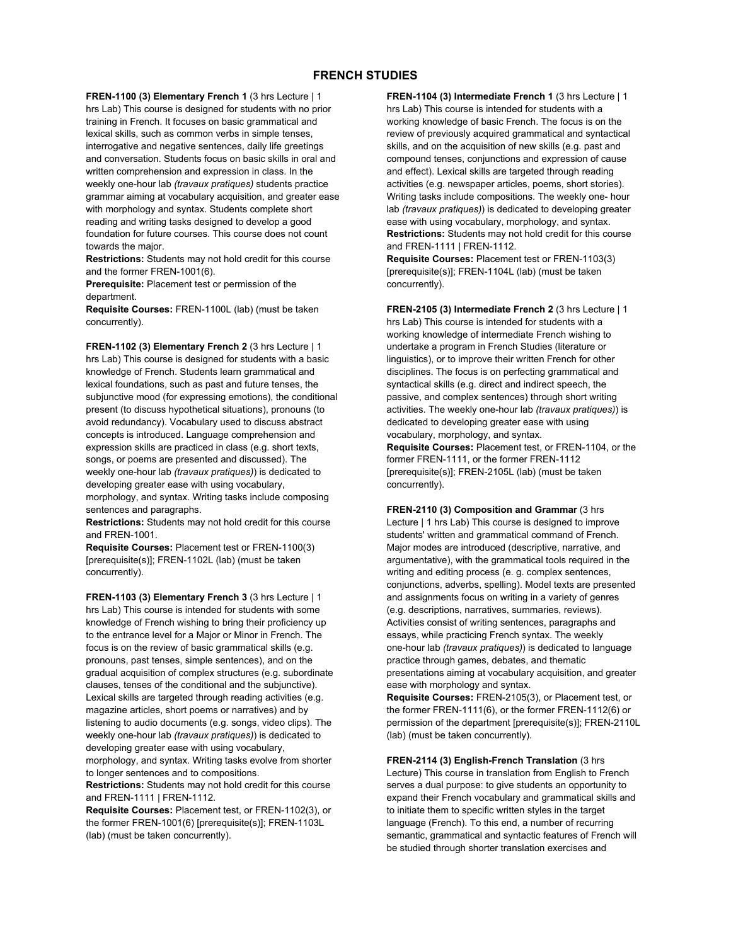## **FRENCH STUDIES**

**FREN-1100 (3) Elementary French 1** (3 hrs Lecture | 1 hrs Lab) This course is designed for students with no prior training in French. It focuses on basic grammatical and lexical skills, such as common verbs in simple tenses, interrogative and negative sentences, daily life greetings and conversation. Students focus on basic skills in oral and written comprehension and expression in class. In the weekly one-hour lab *(travaux pratiques)* students practice grammar aiming at vocabulary acquisition, and greater ease with morphology and syntax. Students complete short reading and writing tasks designed to develop a good foundation for future courses. This course does not count towards the major.

**Restrictions:** Students may not hold credit for this course and the former FREN-1001(6).

**Prerequisite:** Placement test or permission of the department.

**Requisite Courses:** FREN-1100L (lab) (must be taken concurrently).

**FREN-1102 (3) Elementary French 2** (3 hrs Lecture | 1 hrs Lab) This course is designed for students with a basic knowledge of French. Students learn grammatical and lexical foundations, such as past and future tenses, the subjunctive mood (for expressing emotions), the conditional present (to discuss hypothetical situations), pronouns (to avoid redundancy). Vocabulary used to discuss abstract concepts is introduced. Language comprehension and expression skills are practiced in class (e.g. short texts, songs, or poems are presented and discussed). The weekly one-hour lab *(travaux pratiques)*) is dedicated to developing greater ease with using vocabulary, morphology, and syntax. Writing tasks include composing sentences and paragraphs.

**Restrictions:** Students may not hold credit for this course and FREN-1001.

**Requisite Courses:** Placement test or FREN-1100(3) [prerequisite(s)]; FREN-1102L (lab) (must be taken concurrently).

**FREN-1103 (3) Elementary French 3** (3 hrs Lecture | 1 hrs Lab) This course is intended for students with some knowledge of French wishing to bring their proficiency up to the entrance level for a Major or Minor in French. The focus is on the review of basic grammatical skills (e.g. pronouns, past tenses, simple sentences), and on the gradual acquisition of complex structures (e.g. subordinate clauses, tenses of the conditional and the subjunctive). Lexical skills are targeted through reading activities (e.g. magazine articles, short poems or narratives) and by listening to audio documents (e.g. songs, video clips). The weekly one-hour lab *(travaux pratiques)*) is dedicated to developing greater ease with using vocabulary, morphology, and syntax. Writing tasks evolve from shorter

to longer sentences and to compositions. **Restrictions:** Students may not hold credit for this course and FREN-1111 | FREN-1112.

**Requisite Courses:** Placement test, or FREN-1102(3), or the former FREN-1001(6) [prerequisite(s)]; FREN-1103L (lab) (must be taken concurrently).

**FREN-1104 (3) Intermediate French 1** (3 hrs Lecture | 1 hrs Lab) This course is intended for students with a working knowledge of basic French. The focus is on the review of previously acquired grammatical and syntactical skills, and on the acquisition of new skills (e.g. past and compound tenses, conjunctions and expression of cause and effect). Lexical skills are targeted through reading activities (e.g. newspaper articles, poems, short stories). Writing tasks include compositions. The weekly one- hour lab *(travaux pratiques)*) is dedicated to developing greater ease with using vocabulary, morphology, and syntax. **Restrictions:** Students may not hold credit for this course and FREN-1111 | FREN-1112.

**Requisite Courses:** Placement test or FREN-1103(3) [prerequisite(s)]; FREN-1104L (lab) (must be taken concurrently).

**FREN-2105 (3) Intermediate French 2** (3 hrs Lecture | 1 hrs Lab) This course is intended for students with a working knowledge of intermediate French wishing to undertake a program in French Studies (literature or linguistics), or to improve their written French for other disciplines. The focus is on perfecting grammatical and syntactical skills (e.g. direct and indirect speech, the passive, and complex sentences) through short writing activities. The weekly one-hour lab *(travaux pratiques)*) is dedicated to developing greater ease with using vocabulary, morphology, and syntax.

**Requisite Courses:** Placement test, or FREN-1104, or the former FREN-1111, or the former FREN-1112 [prerequisite(s)]; FREN-2105L (lab) (must be taken concurrently).

**FREN-2110 (3) Composition and Grammar** (3 hrs Lecture | 1 hrs Lab) This course is designed to improve students' written and grammatical command of French. Major modes are introduced (descriptive, narrative, and argumentative), with the grammatical tools required in the writing and editing process (e. g. complex sentences, conjunctions, adverbs, spelling). Model texts are presented and assignments focus on writing in a variety of genres (e.g. descriptions, narratives, summaries, reviews). Activities consist of writing sentences, paragraphs and essays, while practicing French syntax. The weekly one-hour lab *(travaux pratiques)*) is dedicated to language practice through games, debates, and thematic presentations aiming at vocabulary acquisition, and greater ease with morphology and syntax.

**Requisite Courses:** FREN-2105(3), or Placement test, or the former FREN-1111(6), or the former FREN-1112(6) or permission of the department [prerequisite(s)]; FREN-2110L (lab) (must be taken concurrently).

**FREN-2114 (3) English-French Translation** (3 hrs Lecture) This course in translation from English to French serves a dual purpose: to give students an opportunity to expand their French vocabulary and grammatical skills and to initiate them to specific written styles in the target language (French). To this end, a number of recurring semantic, grammatical and syntactic features of French will be studied through shorter translation exercises and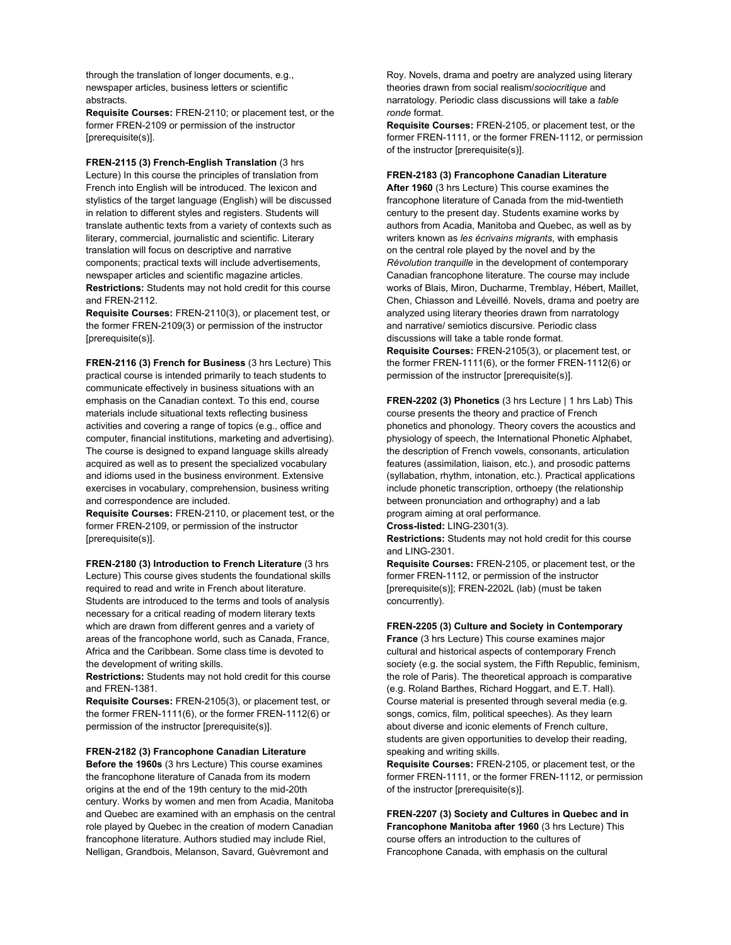through the translation of longer documents, e.g., newspaper articles, business letters or scientific abstracts.

**Requisite Courses:** FREN-2110; or placement test, or the former FREN-2109 or permission of the instructor [prerequisite(s)].

**FREN-2115 (3) French-English Translation** (3 hrs Lecture) In this course the principles of translation from French into English will be introduced. The lexicon and stylistics of the target language (English) will be discussed in relation to different styles and registers. Students will translate authentic texts from a variety of contexts such as literary, commercial, journalistic and scientific. Literary translation will focus on descriptive and narrative components; practical texts will include advertisements, newspaper articles and scientific magazine articles. **Restrictions:** Students may not hold credit for this course and FREN-2112.

**Requisite Courses:** FREN-2110(3), or placement test, or the former FREN-2109(3) or permission of the instructor [prerequisite(s)].

**FREN-2116 (3) French for Business** (3 hrs Lecture) This practical course is intended primarily to teach students to communicate effectively in business situations with an emphasis on the Canadian context. To this end, course materials include situational texts reflecting business activities and covering a range of topics (e.g., office and computer, financial institutions, marketing and advertising). The course is designed to expand language skills already acquired as well as to present the specialized vocabulary and idioms used in the business environment. Extensive exercises in vocabulary, comprehension, business writing and correspondence are included.

**Requisite Courses:** FREN-2110, or placement test, or the former FREN-2109, or permission of the instructor [prerequisite(s)].

**FREN-2180 (3) Introduction to French Literature** (3 hrs Lecture) This course gives students the foundational skills required to read and write in French about literature. Students are introduced to the terms and tools of analysis necessary for a critical reading of modern literary texts which are drawn from different genres and a variety of areas of the francophone world, such as Canada, France, Africa and the Caribbean. Some class time is devoted to the development of writing skills.

**Restrictions:** Students may not hold credit for this course and FREN-1381.

**Requisite Courses:** FREN-2105(3), or placement test, or the former FREN-1111(6), or the former FREN-1112(6) or permission of the instructor [prerequisite(s)].

#### **FREN-2182 (3) Francophone Canadian Literature**

**Before the 1960s** (3 hrs Lecture) This course examines the francophone literature of Canada from its modern origins at the end of the 19th century to the mid-20th century. Works by women and men from Acadia, Manitoba and Quebec are examined with an emphasis on the central role played by Quebec in the creation of modern Canadian francophone literature. Authors studied may include Riel, Nelligan, Grandbois, Melanson, Savard, Guèvremont and

Roy. Novels, drama and poetry are analyzed using literary theories drawn from social realism/*sociocritique* and narratology. Periodic class discussions will take a *table ronde* format.

**Requisite Courses:** FREN-2105, or placement test, or the former FREN-1111, or the former FREN-1112, or permission of the instructor [prerequisite(s)].

## **FREN-2183 (3) Francophone Canadian Literature**

**After 1960** (3 hrs Lecture) This course examines the francophone literature of Canada from the mid-twentieth century to the present day. Students examine works by authors from Acadia, Manitoba and Quebec, as well as by writers known as *les écrivains migrants*, with emphasis on the central role played by the novel and by the *Révolution tranquille* in the development of contemporary Canadian francophone literature. The course may include works of Blais, Miron, Ducharme, Tremblay, Hébert, Maillet, Chen, Chiasson and Léveillé. Novels, drama and poetry are analyzed using literary theories drawn from narratology and narrative/ semiotics discursive. Periodic class discussions will take a table ronde format.

**Requisite Courses:** FREN-2105(3), or placement test, or the former FREN-1111(6), or the former FREN-1112(6) or permission of the instructor [prerequisite(s)].

**FREN-2202 (3) Phonetics** (3 hrs Lecture | 1 hrs Lab) This course presents the theory and practice of French phonetics and phonology. Theory covers the acoustics and physiology of speech, the International Phonetic Alphabet, the description of French vowels, consonants, articulation features (assimilation, liaison, etc.), and prosodic patterns (syllabation, rhythm, intonation, etc.). Practical applications include phonetic transcription, orthoepy (the relationship between pronunciation and orthography) and a lab program aiming at oral performance. **Cross-listed:** LING-2301(3).

**Restrictions:** Students may not hold credit for this course and LING-2301.

**Requisite Courses:** FREN-2105, or placement test, or the former FREN-1112, or permission of the instructor [prerequisite(s)]; FREN-2202L (lab) (must be taken concurrently).

### **FREN-2205 (3) Culture and Society in Contemporary**

**France** (3 hrs Lecture) This course examines major cultural and historical aspects of contemporary French society (e.g. the social system, the Fifth Republic, feminism, the role of Paris). The theoretical approach is comparative (e.g. Roland Barthes, Richard Hoggart, and E.T. Hall). Course material is presented through several media (e.g. songs, comics, film, political speeches). As they learn about diverse and iconic elements of French culture, students are given opportunities to develop their reading, speaking and writing skills.

**Requisite Courses:** FREN-2105, or placement test, or the former FREN-1111, or the former FREN-1112, or permission of the instructor [prerequisite(s)].

**FREN-2207 (3) Society and Cultures in Quebec and in Francophone Manitoba after 1960** (3 hrs Lecture) This course offers an introduction to the cultures of Francophone Canada, with emphasis on the cultural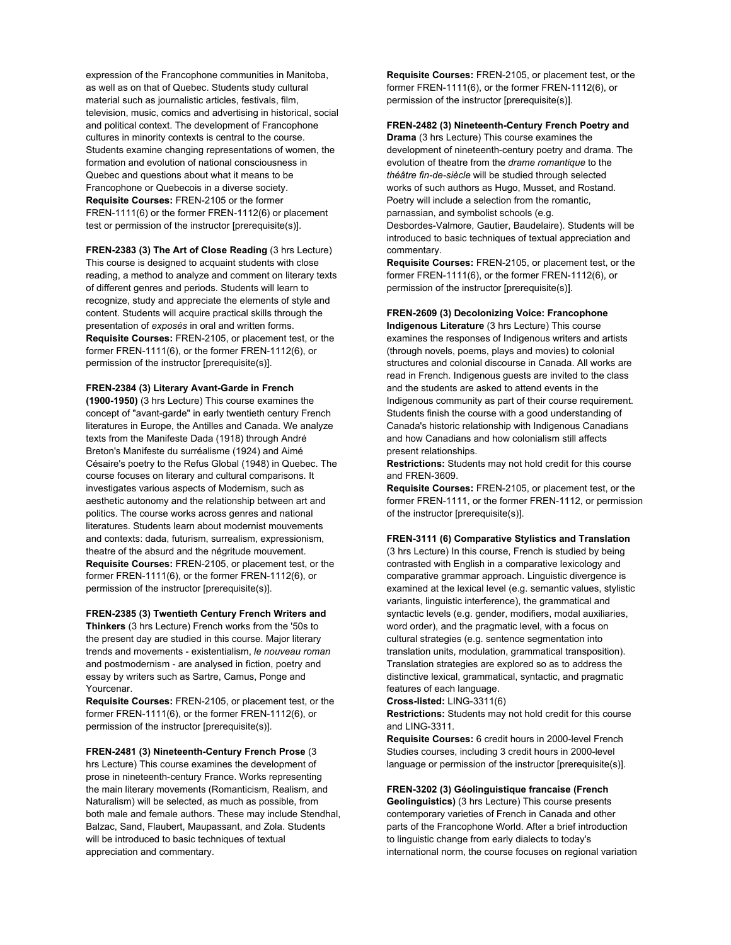expression of the Francophone communities in Manitoba, as well as on that of Quebec. Students study cultural material such as journalistic articles, festivals, film, television, music, comics and advertising in historical, social and political context. The development of Francophone cultures in minority contexts is central to the course. Students examine changing representations of women, the formation and evolution of national consciousness in Quebec and questions about what it means to be Francophone or Quebecois in a diverse society. **Requisite Courses:** FREN-2105 or the former FREN-1111(6) or the former FREN-1112(6) or placement test or permission of the instructor [prerequisite(s)].

**FREN-2383 (3) The Art of Close Reading** (3 hrs Lecture) This course is designed to acquaint students with close reading, a method to analyze and comment on literary texts of different genres and periods. Students will learn to recognize, study and appreciate the elements of style and content. Students will acquire practical skills through the presentation of *exposés* in oral and written forms. **Requisite Courses:** FREN-2105, or placement test, or the former FREN-1111(6), or the former FREN-1112(6), or permission of the instructor [prerequisite(s)].

## **FREN-2384 (3) Literary Avant-Garde in French**

**(1900-1950)** (3 hrs Lecture) This course examines the concept of "avant-garde" in early twentieth century French literatures in Europe, the Antilles and Canada. We analyze texts from the Manifeste Dada (1918) through André Breton's Manifeste du surréalisme (1924) and Aimé Césaire's poetry to the Refus Global (1948) in Quebec. The course focuses on literary and cultural comparisons. It investigates various aspects of Modernism, such as aesthetic autonomy and the relationship between art and politics. The course works across genres and national literatures. Students learn about modernist mouvements and contexts: dada, futurism, surrealism, expressionism, theatre of the absurd and the négritude mouvement. **Requisite Courses:** FREN-2105, or placement test, or the former FREN-1111(6), or the former FREN-1112(6), or permission of the instructor [prerequisite(s)].

**FREN-2385 (3) Twentieth Century French Writers and Thinkers** (3 hrs Lecture) French works from the '50s to the present day are studied in this course. Major literary trends and movements - existentialism, *le nouveau roman* and postmodernism - are analysed in fiction, poetry and essay by writers such as Sartre, Camus, Ponge and Yourcenar.

**Requisite Courses:** FREN-2105, or placement test, or the former FREN-1111(6), or the former FREN-1112(6), or permission of the instructor [prerequisite(s)].

**FREN-2481 (3) Nineteenth-Century French Prose** (3 hrs Lecture) This course examines the development of prose in nineteenth-century France. Works representing the main literary movements (Romanticism, Realism, and Naturalism) will be selected, as much as possible, from both male and female authors. These may include Stendhal, Balzac, Sand, Flaubert, Maupassant, and Zola. Students will be introduced to basic techniques of textual appreciation and commentary.

**Requisite Courses:** FREN-2105, or placement test, or the former FREN-1111(6), or the former FREN-1112(6), or permission of the instructor [prerequisite(s)].

## **FREN-2482 (3) Nineteenth-Century French Poetry and**

**Drama** (3 hrs Lecture) This course examines the development of nineteenth-century poetry and drama. The evolution of theatre from the *drame romantique* to the *théâtre fin-de-siècle* will be studied through selected works of such authors as Hugo, Musset, and Rostand. Poetry will include a selection from the romantic, parnassian, and symbolist schools (e.g. Desbordes-Valmore, Gautier, Baudelaire). Students will be introduced to basic techniques of textual appreciation and

commentary. **Requisite Courses:** FREN-2105, or placement test, or the former FREN-1111(6), or the former FREN-1112(6), or permission of the instructor [prerequisite(s)].

# **FREN-2609 (3) Decolonizing Voice: Francophone**

**Indigenous Literature** (3 hrs Lecture) This course examines the responses of Indigenous writers and artists (through novels, poems, plays and movies) to colonial structures and colonial discourse in Canada. All works are read in French. Indigenous guests are invited to the class and the students are asked to attend events in the Indigenous community as part of their course requirement. Students finish the course with a good understanding of Canada's historic relationship with Indigenous Canadians and how Canadians and how colonialism still affects present relationships.

**Restrictions:** Students may not hold credit for this course and FREN-3609.

**Requisite Courses:** FREN-2105, or placement test, or the former FREN-1111, or the former FREN-1112, or permission of the instructor [prerequisite(s)].

## **FREN-3111 (6) Comparative Stylistics and Translation**

(3 hrs Lecture) In this course, French is studied by being contrasted with English in a comparative lexicology and comparative grammar approach. Linguistic divergence is examined at the lexical level (e.g. semantic values, stylistic variants, linguistic interference), the grammatical and syntactic levels (e.g. gender, modifiers, modal auxiliaries, word order), and the pragmatic level, with a focus on cultural strategies (e.g. sentence segmentation into translation units, modulation, grammatical transposition). Translation strategies are explored so as to address the distinctive lexical, grammatical, syntactic, and pragmatic features of each language.

**Cross-listed:** LING-3311(6)

**Restrictions:** Students may not hold credit for this course and LING-3311.

**Requisite Courses:** 6 credit hours in 2000-level French Studies courses, including 3 credit hours in 2000-level language or permission of the instructor [prerequisite(s)].

#### **FREN-3202 (3) Géolinguistique francaise (French**

**Geolinguistics)** (3 hrs Lecture) This course presents contemporary varieties of French in Canada and other parts of the Francophone World. After a brief introduction to linguistic change from early dialects to today's international norm, the course focuses on regional variation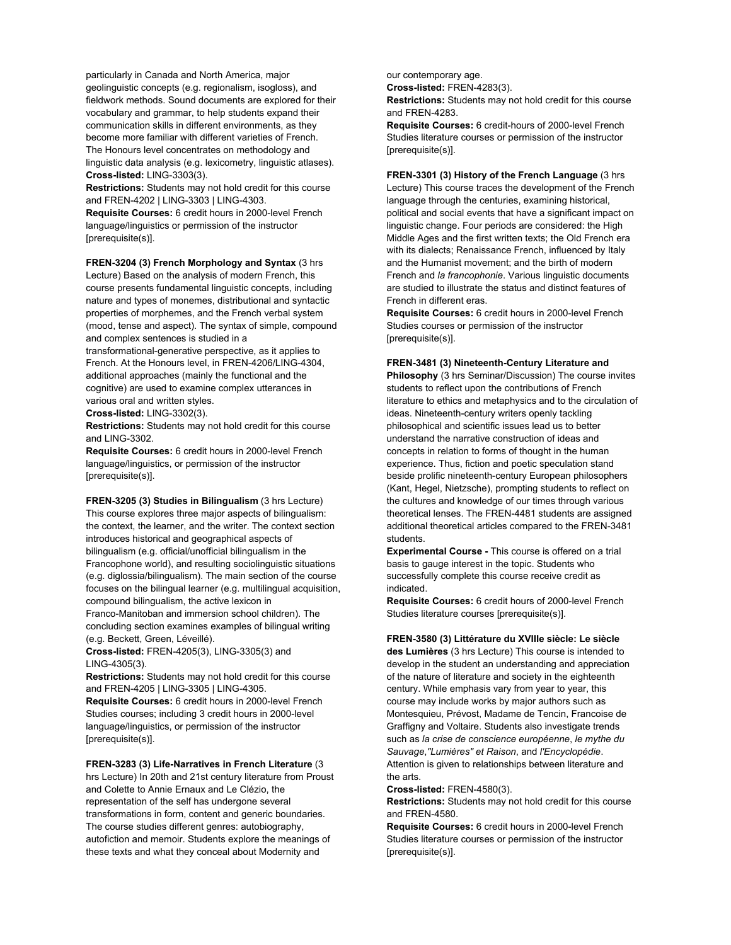particularly in Canada and North America, major geolinguistic concepts (e.g. regionalism, isogloss), and fieldwork methods. Sound documents are explored for their vocabulary and grammar, to help students expand their communication skills in different environments, as they become more familiar with different varieties of French. The Honours level concentrates on methodology and linguistic data analysis (e.g. lexicometry, linguistic atlases). **Cross-listed:** LING-3303(3).

**Restrictions:** Students may not hold credit for this course and FREN-4202 | LING-3303 | LING-4303.

**Requisite Courses:** 6 credit hours in 2000-level French language/linguistics or permission of the instructor [prerequisite(s)].

**FREN-3204 (3) French Morphology and Syntax** (3 hrs Lecture) Based on the analysis of modern French, this course presents fundamental linguistic concepts, including nature and types of monemes, distributional and syntactic properties of morphemes, and the French verbal system (mood, tense and aspect). The syntax of simple, compound and complex sentences is studied in a

transformational-generative perspective, as it applies to French. At the Honours level, in FREN-4206/LING-4304, additional approaches (mainly the functional and the cognitive) are used to examine complex utterances in various oral and written styles.

**Cross-listed:** LING-3302(3).

**Restrictions:** Students may not hold credit for this course and LING-3302.

**Requisite Courses:** 6 credit hours in 2000-level French language/linguistics, or permission of the instructor [prerequisite(s)].

**FREN-3205 (3) Studies in Bilingualism** (3 hrs Lecture) This course explores three major aspects of bilingualism: the context, the learner, and the writer. The context section introduces historical and geographical aspects of bilingualism (e.g. official/unofficial bilingualism in the Francophone world), and resulting sociolinguistic situations (e.g. diglossia/bilingualism). The main section of the course focuses on the bilingual learner (e.g. multilingual acquisition, compound bilingualism, the active lexicon in

Franco-Manitoban and immersion school children). The concluding section examines examples of bilingual writing (e.g. Beckett, Green, Léveillé).

**Cross-listed:** FREN-4205(3), LING-3305(3) and LING-4305(3).

**Restrictions:** Students may not hold credit for this course and FREN-4205 | LING-3305 | LING-4305.

**Requisite Courses:** 6 credit hours in 2000-level French Studies courses; including 3 credit hours in 2000-level language/linguistics, or permission of the instructor [prerequisite(s)].

## **FREN-3283 (3) Life-Narratives in French Literature** (3

hrs Lecture) In 20th and 21st century literature from Proust and Colette to Annie Ernaux and Le Clézio, the representation of the self has undergone several transformations in form, content and generic boundaries. The course studies different genres: autobiography, autofiction and memoir. Students explore the meanings of these texts and what they conceal about Modernity and

our contemporary age.

**Cross-listed:** FREN-4283(3).

**Restrictions:** Students may not hold credit for this course and FREN-4283.

**Requisite Courses:** 6 credit-hours of 2000-level French Studies literature courses or permission of the instructor [prerequisite(s)].

**FREN-3301 (3) History of the French Language** (3 hrs Lecture) This course traces the development of the French language through the centuries, examining historical, political and social events that have a significant impact on linguistic change. Four periods are considered: the High Middle Ages and the first written texts; the Old French era with its dialects; Renaissance French, influenced by Italy and the Humanist movement; and the birth of modern French and *la francophonie*. Various linguistic documents are studied to illustrate the status and distinct features of French in different eras.

**Requisite Courses:** 6 credit hours in 2000-level French Studies courses or permission of the instructor [prerequisite(s)].

## **FREN-3481 (3) Nineteenth-Century Literature and**

**Philosophy** (3 hrs Seminar/Discussion) The course invites students to reflect upon the contributions of French literature to ethics and metaphysics and to the circulation of ideas. Nineteenth-century writers openly tackling philosophical and scientific issues lead us to better understand the narrative construction of ideas and concepts in relation to forms of thought in the human experience. Thus, fiction and poetic speculation stand beside prolific nineteenth-century European philosophers (Kant, Hegel, Nietzsche), prompting students to reflect on the cultures and knowledge of our times through various theoretical lenses. The FREN-4481 students are assigned additional theoretical articles compared to the FREN-3481 students.

**Experimental Course -** This course is offered on a trial basis to gauge interest in the topic. Students who successfully complete this course receive credit as indicated.

**Requisite Courses:** 6 credit hours of 2000-level French Studies literature courses [prerequisite(s)].

**FREN-3580 (3) Littérature du XVIIIe siècle: Le siècle** 

**des Lumières** (3 hrs Lecture) This course is intended to develop in the student an understanding and appreciation of the nature of literature and society in the eighteenth century. While emphasis vary from year to year, this course may include works by major authors such as Montesquieu, Prévost, Madame de Tencin, Francoise de Graffigny and Voltaire. Students also investigate trends such as *la crise de conscience européenne*, *le mythe du Sauvage*,*"Lumières" et Raison*, and *l'Encyclopédie*. Attention is given to relationships between literature and the arts.

**Cross-listed:** FREN-4580(3).

**Restrictions:** Students may not hold credit for this course and FREN-4580.

**Requisite Courses:** 6 credit hours in 2000-level French Studies literature courses or permission of the instructor [prerequisite(s)].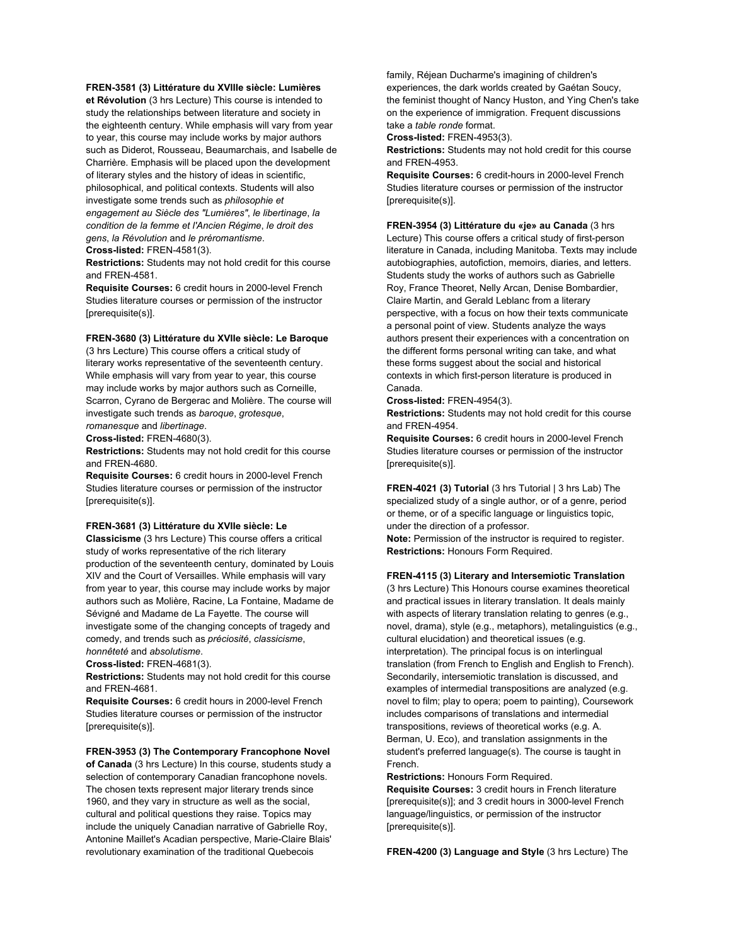### **FREN-3581 (3) Littérature du XVIIIe siècle: Lumières**

**et Révolution** (3 hrs Lecture) This course is intended to study the relationships between literature and society in the eighteenth century. While emphasis will vary from year to year, this course may include works by major authors such as Diderot, Rousseau, Beaumarchais, and Isabelle de Charrière. Emphasis will be placed upon the development of literary styles and the history of ideas in scientific, philosophical, and political contexts. Students will also investigate some trends such as *philosophie et engagement au Siècle des "Lumières"*, *le libertinage*, *la condition de la femme et l'Ancien Régime*, *le droit des gens*, *la Révolution* and *le préromantisme*. **Cross-listed:** FREN-4581(3).

**Restrictions:** Students may not hold credit for this course and FREN-4581.

**Requisite Courses:** 6 credit hours in 2000-level French Studies literature courses or permission of the instructor [prerequisite(s)].

#### **FREN-3680 (3) Littérature du XVIIe siècle: Le Baroque**

(3 hrs Lecture) This course offers a critical study of literary works representative of the seventeenth century. While emphasis will vary from year to year, this course may include works by major authors such as Corneille, Scarron, Cyrano de Bergerac and Molière. The course will investigate such trends as *baroque*, *grotesque*, *romanesque* and *libertinage*.

**Cross-listed:** FREN-4680(3).

**Restrictions:** Students may not hold credit for this course and FREN-4680.

**Requisite Courses:** 6 credit hours in 2000-level French Studies literature courses or permission of the instructor [prerequisite(s)].

### **FREN-3681 (3) Littérature du XVIIe siècle: Le**

**Classicisme** (3 hrs Lecture) This course offers a critical study of works representative of the rich literary production of the seventeenth century, dominated by Louis XIV and the Court of Versailles. While emphasis will vary from year to year, this course may include works by major authors such as Molière, Racine, La Fontaine, Madame de Sévigné and Madame de La Fayette. The course will investigate some of the changing concepts of tragedy and comedy, and trends such as *préciosité*, *classicisme*, *honnêteté* and *absolutisme*.

**Cross-listed:** FREN-4681(3).

**Restrictions:** Students may not hold credit for this course and FREN-4681.

**Requisite Courses:** 6 credit hours in 2000-level French Studies literature courses or permission of the instructor [prerequisite(s)].

**FREN-3953 (3) The Contemporary Francophone Novel of Canada** (3 hrs Lecture) In this course, students study a selection of contemporary Canadian francophone novels. The chosen texts represent major literary trends since 1960, and they vary in structure as well as the social, cultural and political questions they raise. Topics may include the uniquely Canadian narrative of Gabrielle Roy, Antonine Maillet's Acadian perspective, Marie-Claire Blais' revolutionary examination of the traditional Quebecois

family, Réjean Ducharme's imagining of children's experiences, the dark worlds created by Gaétan Soucy, the feminist thought of Nancy Huston, and Ying Chen's take on the experience of immigration. Frequent discussions take a *table ronde* format.

**Cross-listed:** FREN-4953(3).

**Restrictions:** Students may not hold credit for this course and FREN-4953.

**Requisite Courses:** 6 credit-hours in 2000-level French Studies literature courses or permission of the instructor [prerequisite(s)].

### **FREN-3954 (3) Littérature du «je» au Canada** (3 hrs

Lecture) This course offers a critical study of first-person literature in Canada, including Manitoba. Texts may include autobiographies, autofiction, memoirs, diaries, and letters. Students study the works of authors such as Gabrielle Roy, France Theoret, Nelly Arcan, Denise Bombardier, Claire Martin, and Gerald Leblanc from a literary perspective, with a focus on how their texts communicate a personal point of view. Students analyze the ways authors present their experiences with a concentration on the different forms personal writing can take, and what these forms suggest about the social and historical contexts in which first-person literature is produced in Canada.

## **Cross-listed:** FREN-4954(3).

**Restrictions:** Students may not hold credit for this course and FREN-4954.

**Requisite Courses:** 6 credit hours in 2000-level French Studies literature courses or permission of the instructor [prerequisite(s)].

**FREN-4021 (3) Tutorial** (3 hrs Tutorial | 3 hrs Lab) The specialized study of a single author, or of a genre, period or theme, or of a specific language or linguistics topic, under the direction of a professor.

**Note:** Permission of the instructor is required to register. **Restrictions:** Honours Form Required.

## **FREN-4115 (3) Literary and Intersemiotic Translation**

(3 hrs Lecture) This Honours course examines theoretical and practical issues in literary translation. It deals mainly with aspects of literary translation relating to genres (e.g., novel, drama), style (e.g., metaphors), metalinguistics (e.g., cultural elucidation) and theoretical issues (e.g. interpretation). The principal focus is on interlingual translation (from French to English and English to French). Secondarily, intersemiotic translation is discussed, and examples of intermedial transpositions are analyzed (e.g. novel to film; play to opera; poem to painting), Coursework includes comparisons of translations and intermedial transpositions, reviews of theoretical works (e.g. A. Berman, U. Eco), and translation assignments in the student's preferred language(s). The course is taught in French.

**Restrictions:** Honours Form Required. **Requisite Courses:** 3 credit hours in French literature [prerequisite(s)]; and 3 credit hours in 3000-level French language/linguistics, or permission of the instructor [prerequisite(s)].

**FREN-4200 (3) Language and Style** (3 hrs Lecture) The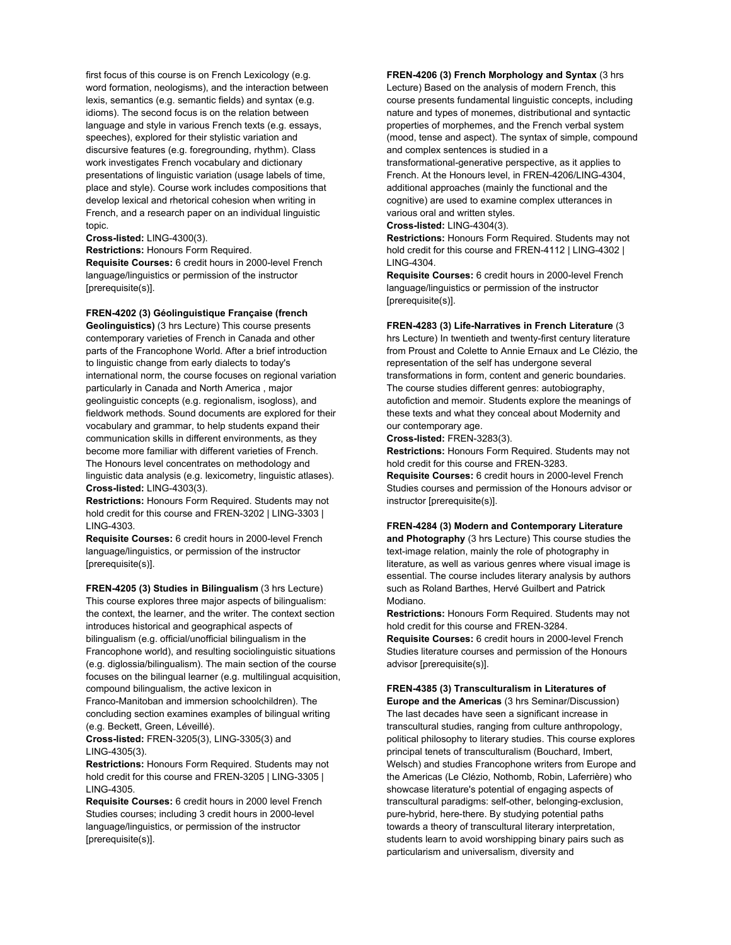first focus of this course is on French Lexicology (e.g. word formation, neologisms), and the interaction between lexis, semantics (e.g. semantic fields) and syntax (e.g. idioms). The second focus is on the relation between language and style in various French texts (e.g. essays, speeches), explored for their stylistic variation and discursive features (e.g. foregrounding, rhythm). Class work investigates French vocabulary and dictionary presentations of linguistic variation (usage labels of time, place and style). Course work includes compositions that develop lexical and rhetorical cohesion when writing in French, and a research paper on an individual linguistic topic.

**Cross-listed:** LING-4300(3).

**Restrictions:** Honours Form Required. **Requisite Courses:** 6 credit hours in 2000-level French language/linguistics or permission of the instructor [prerequisite(s)].

## **FREN-4202 (3) Géolinguistique Française (french**

**Geolinguistics)** (3 hrs Lecture) This course presents contemporary varieties of French in Canada and other parts of the Francophone World. After a brief introduction to linguistic change from early dialects to today's international norm, the course focuses on regional variation particularly in Canada and North America , major geolinguistic concepts (e.g. regionalism, isogloss), and fieldwork methods. Sound documents are explored for their vocabulary and grammar, to help students expand their communication skills in different environments, as they become more familiar with different varieties of French. The Honours level concentrates on methodology and linguistic data analysis (e.g. lexicometry, linguistic atlases). **Cross-listed:** LING-4303(3).

**Restrictions:** Honours Form Required. Students may not hold credit for this course and FREN-3202 | LING-3303 | LING-4303.

**Requisite Courses:** 6 credit hours in 2000-level French language/linguistics, or permission of the instructor [prerequisite(s)].

**FREN-4205 (3) Studies in Bilingualism** (3 hrs Lecture) This course explores three major aspects of bilingualism: the context, the learner, and the writer. The context section introduces historical and geographical aspects of bilingualism (e.g. official/unofficial bilingualism in the Francophone world), and resulting sociolinguistic situations (e.g. diglossia/bilingualism). The main section of the course focuses on the bilingual learner (e.g. multilingual acquisition, compound bilingualism, the active lexicon in

Franco-Manitoban and immersion schoolchildren). The concluding section examines examples of bilingual writing (e.g. Beckett, Green, Léveillé).

**Cross-listed:** FREN-3205(3), LING-3305(3) and LING-4305(3).

**Restrictions:** Honours Form Required. Students may not hold credit for this course and FREN-3205 | LING-3305 | LING-4305.

**Requisite Courses:** 6 credit hours in 2000 level French Studies courses; including 3 credit hours in 2000-level language/linguistics, or permission of the instructor [prerequisite(s)].

#### **FREN-4206 (3) French Morphology and Syntax** (3 hrs

Lecture) Based on the analysis of modern French, this course presents fundamental linguistic concepts, including nature and types of monemes, distributional and syntactic properties of morphemes, and the French verbal system (mood, tense and aspect). The syntax of simple, compound and complex sentences is studied in a

transformational-generative perspective, as it applies to French. At the Honours level, in FREN-4206/LING-4304, additional approaches (mainly the functional and the cognitive) are used to examine complex utterances in various oral and written styles.

**Cross-listed:** LING-4304(3).

**Restrictions:** Honours Form Required. Students may not hold credit for this course and FREN-4112 | LING-4302 | LING-4304.

**Requisite Courses:** 6 credit hours in 2000-level French language/linguistics or permission of the instructor [prerequisite(s)].

### **FREN-4283 (3) Life-Narratives in French Literature** (3

hrs Lecture) In twentieth and twenty-first century literature from Proust and Colette to Annie Ernaux and Le Clézio, the representation of the self has undergone several transformations in form, content and generic boundaries. The course studies different genres: autobiography, autofiction and memoir. Students explore the meanings of these texts and what they conceal about Modernity and our contemporary age.

**Cross-listed:** FREN-3283(3).

**Restrictions:** Honours Form Required. Students may not hold credit for this course and FREN-3283.

**Requisite Courses:** 6 credit hours in 2000-level French Studies courses and permission of the Honours advisor or instructor [prerequisite(s)].

## **FREN-4284 (3) Modern and Contemporary Literature**

**and Photography** (3 hrs Lecture) This course studies the text-image relation, mainly the role of photography in literature, as well as various genres where visual image is essential. The course includes literary analysis by authors such as Roland Barthes, Hervé Guilbert and Patrick Modiano.

**Restrictions:** Honours Form Required. Students may not hold credit for this course and FREN-3284. **Requisite Courses:** 6 credit hours in 2000-level French Studies literature courses and permission of the Honours advisor [prerequisite(s)].

### **FREN-4385 (3) Transculturalism in Literatures of**

**Europe and the Americas** (3 hrs Seminar/Discussion) The last decades have seen a significant increase in transcultural studies, ranging from culture anthropology, political philosophy to literary studies. This course explores principal tenets of transculturalism (Bouchard, Imbert, Welsch) and studies Francophone writers from Europe and the Americas (Le Clézio, Nothomb, Robin, Laferrière) who showcase literature's potential of engaging aspects of transcultural paradigms: self-other, belonging-exclusion, pure-hybrid, here-there. By studying potential paths towards a theory of transcultural literary interpretation, students learn to avoid worshipping binary pairs such as particularism and universalism, diversity and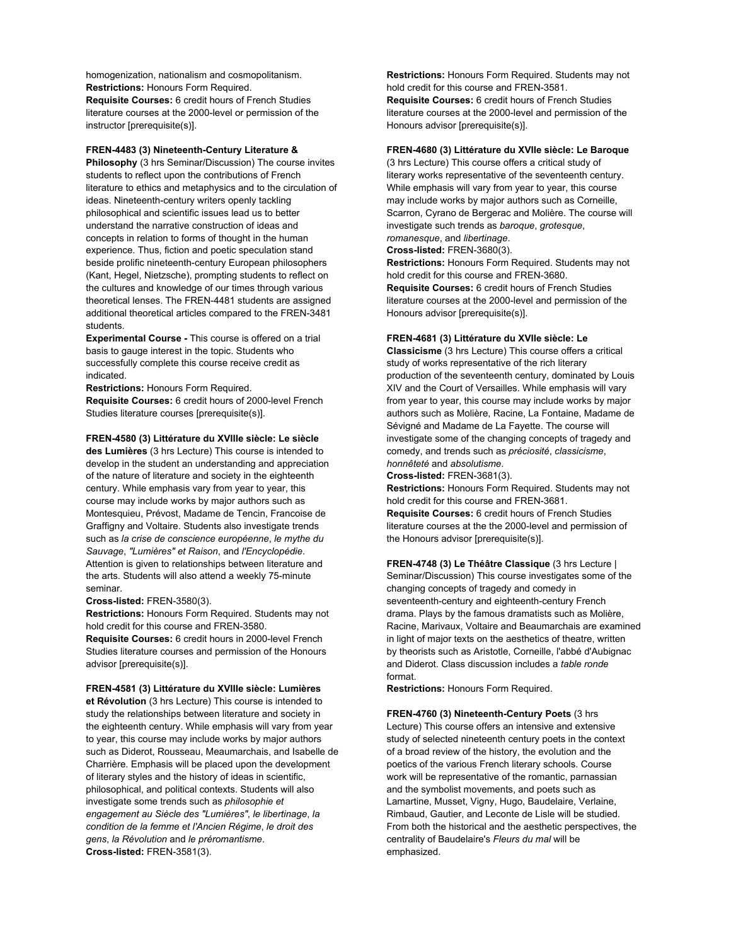homogenization, nationalism and cosmopolitanism. **Restrictions:** Honours Form Required. **Requisite Courses:** 6 credit hours of French Studies literature courses at the 2000-level or permission of the instructor [prerequisite(s)].

## **FREN-4483 (3) Nineteenth-Century Literature &**

**Philosophy** (3 hrs Seminar/Discussion) The course invites students to reflect upon the contributions of French literature to ethics and metaphysics and to the circulation of ideas. Nineteenth-century writers openly tackling philosophical and scientific issues lead us to better understand the narrative construction of ideas and concepts in relation to forms of thought in the human experience. Thus, fiction and poetic speculation stand beside prolific nineteenth-century European philosophers (Kant, Hegel, Nietzsche), prompting students to reflect on the cultures and knowledge of our times through various theoretical lenses. The FREN-4481 students are assigned additional theoretical articles compared to the FREN-3481 students.

**Experimental Course -** This course is offered on a trial basis to gauge interest in the topic. Students who successfully complete this course receive credit as indicated.

**Restrictions:** Honours Form Required. **Requisite Courses:** 6 credit hours of 2000-level French

Studies literature courses [prerequisite(s)].

## **FREN-4580 (3) Littérature du XVIIIe siècle: Le siècle**

**des Lumières** (3 hrs Lecture) This course is intended to develop in the student an understanding and appreciation of the nature of literature and society in the eighteenth century. While emphasis vary from year to year, this course may include works by major authors such as Montesquieu, Prévost, Madame de Tencin, Francoise de Graffigny and Voltaire. Students also investigate trends such as *la crise de conscience européenne*, *le mythe du Sauvage*, *"Lumières" et Raison*, and *l'Encyclopédie*. Attention is given to relationships between literature and the arts. Students will also attend a weekly 75-minute seminar.

#### **Cross-listed:** FREN-3580(3).

**Restrictions:** Honours Form Required. Students may not hold credit for this course and FREN-3580. **Requisite Courses:** 6 credit hours in 2000-level French Studies literature courses and permission of the Honours advisor [prerequisite(s)].

### **FREN-4581 (3) Littérature du XVIIIe siècle: Lumières**

**et Révolution** (3 hrs Lecture) This course is intended to study the relationships between literature and society in the eighteenth century. While emphasis will vary from year to year, this course may include works by major authors such as Diderot, Rousseau, Meaumarchais, and Isabelle de Charrière. Emphasis will be placed upon the development of literary styles and the history of ideas in scientific, philosophical, and political contexts. Students will also investigate some trends such as *philosophie et engagement au Siècle des "Lumières"*, *le libertinage*, *la condition de la femme et l'Ancien Régime*, *le droit des gens*, *la Révolution* and *le préromantisme*. **Cross-listed:** FREN-3581(3).

**Restrictions:** Honours Form Required. Students may not hold credit for this course and FREN-3581. **Requisite Courses:** 6 credit hours of French Studies literature courses at the 2000-level and permission of the Honours advisor [prerequisite(s)].

# **FREN-4680 (3) Littérature du XVIIe siècle: Le Baroque**

(3 hrs Lecture) This course offers a critical study of literary works representative of the seventeenth century. While emphasis will vary from year to year, this course may include works by major authors such as Corneille, Scarron, Cyrano de Bergerac and Molière. The course will investigate such trends as *baroque*, *grotesque*, *romanesque*, and *libertinage*.

**Cross-listed:** FREN-3680(3).

**Restrictions:** Honours Form Required. Students may not hold credit for this course and FREN-3680. **Requisite Courses:** 6 credit hours of French Studies literature courses at the 2000-level and permission of the Honours advisor [prerequisite(s)].

#### **FREN-4681 (3) Littérature du XVIIe siècle: Le**

**Classicisme** (3 hrs Lecture) This course offers a critical study of works representative of the rich literary production of the seventeenth century, dominated by Louis XIV and the Court of Versailles. While emphasis will vary from year to year, this course may include works by major authors such as Molière, Racine, La Fontaine, Madame de Sévigné and Madame de La Fayette. The course will investigate some of the changing concepts of tragedy and comedy, and trends such as *préciosité*, *classicisme*, *honnêteté* and *absolutisme*.

**Cross-listed:** FREN-3681(3).

**Restrictions:** Honours Form Required. Students may not hold credit for this course and FREN-3681. **Requisite Courses:** 6 credit hours of French Studies literature courses at the the 2000-level and permission of the Honours advisor [prerequisite(s)].

**FREN-4748 (3) Le Théâtre Classique** (3 hrs Lecture | Seminar/Discussion) This course investigates some of the changing concepts of tragedy and comedy in seventeenth-century and eighteenth-century French drama. Plays by the famous dramatists such as Molière, Racine, Marivaux, Voltaire and Beaumarchais are examined in light of major texts on the aesthetics of theatre, written by theorists such as Aristotle, Corneille, l'abbé d'Aubignac and Diderot. Class discussion includes a *table ronde* format.

**Restrictions:** Honours Form Required.

**FREN-4760 (3) Nineteenth-Century Poets** (3 hrs Lecture) This course offers an intensive and extensive study of selected nineteenth century poets in the context of a broad review of the history, the evolution and the poetics of the various French literary schools. Course work will be representative of the romantic, parnassian and the symbolist movements, and poets such as Lamartine, Musset, Vigny, Hugo, Baudelaire, Verlaine, Rimbaud, Gautier, and Leconte de Lisle will be studied. From both the historical and the aesthetic perspectives, the centrality of Baudelaire's *Fleurs du mal* will be emphasized.